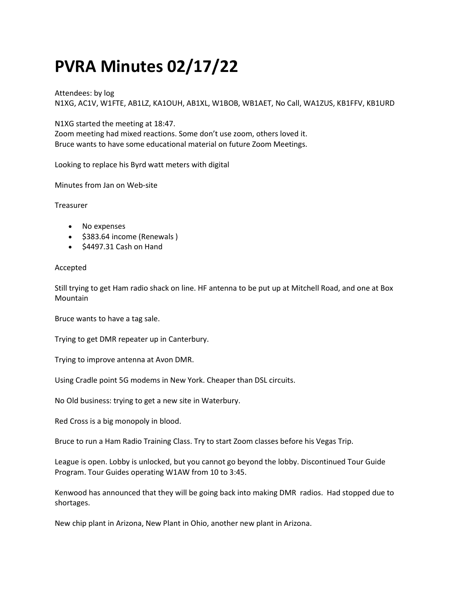## PVRA Minutes 02/17/22

Attendees: by log N1XG, AC1V, W1FTE, AB1LZ, KA1OUH, AB1XL, W1BOB, WB1AET, No Call, WA1ZUS, KB1FFV, KB1URD

N1XG started the meeting at 18:47.

Zoom meeting had mixed reactions. Some don't use zoom, others loved it. Bruce wants to have some educational material on future Zoom Meetings.

Looking to replace his Byrd watt meters with digital

Minutes from Jan on Web-site

Treasurer

- No expenses
- $\bullet$  \$383.64 income (Renewals )
- $\bullet$  \$4497.31 Cash on Hand

## Accepted

Still trying to get Ham radio shack on line. HF antenna to be put up at Mitchell Road, and one at Box Mountain

Bruce wants to have a tag sale.

Trying to get DMR repeater up in Canterbury.

Trying to improve antenna at Avon DMR.

Using Cradle point 5G modems in New York. Cheaper than DSL circuits.

No Old business: trying to get a new site in Waterbury.

Red Cross is a big monopoly in blood.

Bruce to run a Ham Radio Training Class. Try to start Zoom classes before his Vegas Trip.

League is open. Lobby is unlocked, but you cannot go beyond the lobby. Discontinued Tour Guide Program. Tour Guides operating W1AW from 10 to 3:45.

Kenwood has announced that they will be going back into making DMR radios. Had stopped due to shortages.

New chip plant in Arizona, New Plant in Ohio, another new plant in Arizona.